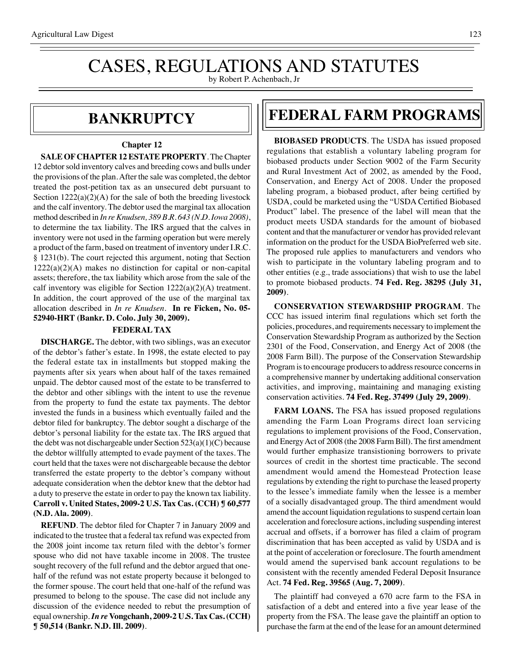# CASES, REGULATIONS AND STATUTES

by Robert P. Achenbach, Jr

### **bankruptcy**

#### **Chapter 12**

**SALE OF CHAPTER 12 ESTATE PROPERTY**. The Chapter 12 debtor sold inventory calves and breeding cows and bulls under the provisions of the plan. After the sale was completed, the debtor treated the post-petition tax as an unsecured debt pursuant to Section  $1222(a)(2)(A)$  for the sale of both the breeding livestock and the calf inventory. The debtor used the marginal tax allocation method described in *In re Knudsen, 389 B.R. 643 (N.D. Iowa 2008)*, to determine the tax liability. The IRS argued that the calves in inventory were not used in the farming operation but were merely a product of the farm, based on treatment of inventory under I.R.C. § 1231(b). The court rejected this argument, noting that Section 1222(a)(2)(A) makes no distinction for capital or non-capital assets; therefore, the tax liability which arose from the sale of the calf inventory was eligible for Section 1222(a)(2)(A) treatment. In addition, the court approved of the use of the marginal tax allocation described in *In re Knudsen*. **In re Ficken, No. 05- 52940-HRT (Bankr. D. Colo. July 30, 2009).**

#### **FEDERAL TAX**

**DISCHARGE.** The debtor, with two siblings, was an executor of the debtor's father's estate. In 1998, the estate elected to pay the federal estate tax in installments but stopped making the payments after six years when about half of the taxes remained unpaid. The debtor caused most of the estate to be transferred to the debtor and other siblings with the intent to use the revenue from the property to fund the estate tax payments. The debtor invested the funds in a business which eventually failed and the debtor filed for bankruptcy. The debtor sought a discharge of the debtor's personal liability for the estate tax. The IRS argued that the debt was not dischargeable under Section 523(a)(1)(C) because the debtor willfully attempted to evade payment of the taxes. The court held that the taxes were not dischargeable because the debtor transferred the estate property to the debtor's company without adequate consideration when the debtor knew that the debtor had a duty to preserve the estate in order to pay the known tax liability. **Carroll v. United States, 2009-2 U.S. Tax Cas. (CCH) ¶ 60,577 (N.D. Ala. 2009)**.

**REFUND**. The debtor filed for Chapter 7 in January 2009 and indicated to the trustee that a federal tax refund was expected from the 2008 joint income tax return filed with the debtor's former spouse who did not have taxable income in 2008. The trustee sought recovery of the full refund and the debtor argued that onehalf of the refund was not estate property because it belonged to the former spouse. The court held that one-half of the refund was presumed to belong to the spouse. The case did not include any discussion of the evidence needed to rebut the presumption of equal ownership. *In re* **Vongchanh, 2009-2 U.S. Tax Cas. (CCH) ¶ 50,514 (Bankr. N.D. Ill. 2009)**.

### **federal FARM PROGRAMS**

**BIOBASED PRODUCTS**. The USDA has issued proposed regulations that establish a voluntary labeling program for biobased products under Section 9002 of the Farm Security and Rural Investment Act of 2002, as amended by the Food, Conservation, and Energy Act of 2008. Under the proposed labeling program, a biobased product, after being certified by USDA, could be marketed using the "USDA Certified Biobased Product" label. The presence of the label will mean that the product meets USDA standards for the amount of biobased content and that the manufacturer or vendor has provided relevant information on the product for the USDA BioPreferred web site. The proposed rule applies to manufacturers and vendors who wish to participate in the voluntary labeling program and to other entities (e.g., trade associations) that wish to use the label to promote biobased products. **74 Fed. Reg. 38295 (July 31, 2009)**.

**CONSERVATION STEWARDSHIP PROGRAM**. The CCC has issued interim final regulations which set forth the policies, procedures, and requirements necessary to implement the Conservation Stewardship Program as authorized by the Section 2301 of the Food, Conservation, and Energy Act of 2008 (the 2008 Farm Bill). The purpose of the Conservation Stewardship Program is to encourage producers to address resource concerns in a comprehensive manner by undertaking additional conservation activities, and improving, maintaining and managing existing conservation activities. **74 Fed. Reg. 37499 (July 29, 2009)**.

**FARM LOANS.** The FSA has issued proposed regulations amending the Farm Loan Programs direct loan servicing regulations to implement provisions of the Food, Conservation, and Energy Act of 2008 (the 2008 Farm Bill). The first amendment would further emphasize transistioning borrowers to private sources of credit in the shortest time practicable. The second amendment would amend the Homestead Protection lease regulations by extending the right to purchase the leased property to the lessee's immediate family when the lessee is a member of a socially disadvantaged group. The third amendment would amend the account liquidation regulations to suspend certain loan acceleration and foreclosure actions, including suspending interest accrual and offsets, if a borrower has filed a claim of program discrimination that has been accepted as valid by USDA and is at the point of acceleration or foreclosure. The fourth amendment would amend the supervised bank account regulations to be consistent with the recently amended Federal Deposit Insurance Act. **74 Fed. Reg. 39565 (Aug. 7, 2009)**.

The plaintiff had conveyed a 670 acre farm to the FSA in satisfaction of a debt and entered into a five year lease of the property from the FSA. The lease gave the plaintiff an option to purchase the farm at the end of the lease for an amount determined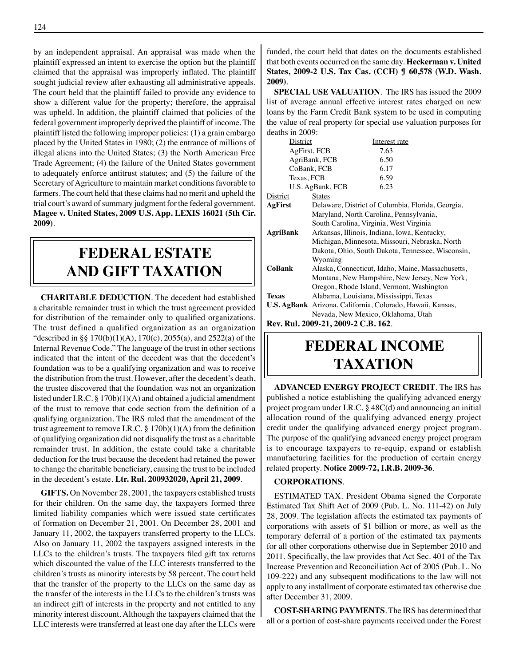by an independent appraisal. An appraisal was made when the plaintiff expressed an intent to exercise the option but the plaintiff claimed that the appraisal was improperly inflated. The plaintiff sought judicial review after exhausting all administrative appeals. The court held that the plaintiff failed to provide any evidence to show a different value for the property; therefore, the appraisal was upheld. In addition, the plaintiff claimed that policies of the federal government improperly deprived the plaintiff of income. The plaintiff listed the following improper policies: (1) a grain embargo placed by the United States in 1980; (2) the entrance of millions of illegal aliens into the United States; (3) the North American Free Trade Agreement; (4) the failure of the United States government to adequately enforce antitrust statutes; and (5) the failure of the Secretary of Agriculture to maintain market conditions favorable to farmers. The court held that these claims had no merit and upheld the trial court's award of summary judgment for the federal government. **Magee v. United States, 2009 U.S. App. LEXIS 16021 (5th Cir. 2009)**.

## **federal ESTATE AND GIFT taxation**

**CHARITABLE DEDUCTION**. The decedent had established a charitable remainder trust in which the trust agreement provided for distribution of the remainder only to qualified organizations. The trust defined a qualified organization as an organization "described in §§ 170(b)(1)(A), 170(c), 2055(a), and 2522(a) of the Internal Revenue Code." The language of the trust in other sections indicated that the intent of the decedent was that the decedent's foundation was to be a qualifying organization and was to receive the distribution from the trust. However, after the decedent's death, the trustee discovered that the foundation was not an organization listed under I.R.C. § 170b)(1)(A) and obtained a judicial amendment of the trust to remove that code section from the definition of a qualifying organization. The IRS ruled that the amendment of the trust agreement to remove I.R.C. § 170b)(1)(A) from the definition of qualifying organization did not disqualify the trust as a charitable remainder trust. In addition, the estate could take a charitable deduction for the trust because the decedent had retained the power to change the charitable beneficiary, causing the trust to be included in the decedent's estate. **Ltr. Rul. 200932020, April 21, 2009**.

**GIFTS.** On November 28, 2001, the taxpayers established trusts for their children. On the same day, the taxpayers formed three limited liability companies which were issued state certificates of formation on December 21, 2001. On December 28, 2001 and January 11, 2002, the taxpayers transferred property to the LLCs. Also on January 11, 2002 the taxpayers assigned interests in the LLCs to the children's trusts. The taxpayers filed gift tax returns which discounted the value of the LLC interests transferred to the children's trusts as minority interests by 58 percent. The court held that the transfer of the property to the LLCs on the same day as the transfer of the interests in the LLCs to the children's trusts was an indirect gift of interests in the property and not entitled to any minority interest discount. Although the taxpayers claimed that the LLC interests were transferred at least one day after the LLCs were

funded, the court held that dates on the documents established that both events occurred on the same day. **Heckerman v. United States, 2009-2 U.S. Tax Cas. (CCH) ¶ 60,578 (W.D. Wash. 2009)**.

**SPECIAL USE VALUATION**. The IRS has issued the 2009 list of average annual effective interest rates charged on new loans by the Farm Credit Bank system to be used in computing the value of real property for special use valuation purposes for deaths in 2009:

| District                                       |                                                                                                    | Interest rate                                |  |
|------------------------------------------------|----------------------------------------------------------------------------------------------------|----------------------------------------------|--|
| AgFirst, FCB                                   |                                                                                                    | 7.63                                         |  |
| AgriBank, FCB                                  |                                                                                                    | 6.50                                         |  |
| CoBank, FCB                                    |                                                                                                    | 6.17                                         |  |
| Texas, FCB                                     |                                                                                                    | 6.59                                         |  |
| U.S. AgBank, FCB                               |                                                                                                    | 6.23                                         |  |
| <b>District</b>                                | <b>States</b>                                                                                      |                                              |  |
| AgFirst                                        | Delaware, District of Columbia, Florida, Georgia,                                                  |                                              |  |
|                                                | Maryland, North Carolina, Pennsylvania,                                                            |                                              |  |
|                                                |                                                                                                    | South Carolina, Virginia, West Virginia      |  |
| AgriBank                                       |                                                                                                    | Arkansas, Illinois, Indiana, Iowa, Kentucky, |  |
| Michigan, Minnesota, Missouri, Nebraska, North |                                                                                                    |                                              |  |
|                                                | Dakota, Ohio, South Dakota, Tennessee, Wisconsin,                                                  |                                              |  |
|                                                | Wyoming                                                                                            |                                              |  |
| <b>CoBank</b>                                  | Alaska, Connecticut, Idaho, Maine, Massachusetts,<br>Montana, New Hampshire, New Jersey, New York, |                                              |  |
|                                                |                                                                                                    |                                              |  |
|                                                | Oregon, Rhode Island, Vermont, Washington                                                          |                                              |  |
| <b>Texas</b>                                   | Alabama, Louisiana, Mississippi, Texas                                                             |                                              |  |
|                                                | <b>U.S. AgBank</b> Arizona, California, Colorado, Hawaii, Kansas,                                  |                                              |  |
|                                                |                                                                                                    | Nevada, New Mexico, Oklahoma, Utah           |  |
| Rev. Rul. 2009-21, 2009-2 C.B. 162.            |                                                                                                    |                                              |  |

# **federal income taxation**

**ADVANCED ENERGY PROJECT CREDIT**. The IRS has published a notice establishing the qualifying advanced energy project program under I.R.C. § 48C(d) and announcing an initial allocation round of the qualifying advanced energy project credit under the qualifying advanced energy project program. The purpose of the qualifying advanced energy project program is to encourage taxpayers to re-equip, expand or establish manufacturing facilities for the production of certain energy related property. **Notice 2009-72, I.R.B. 2009-36**.

#### **CORPORATIONS**.

ESTIMATED TAX. President Obama signed the Corporate Estimated Tax Shift Act of 2009 (Pub. L. No. 111-42) on July 28, 2009. The legislation affects the estimated tax payments of corporations with assets of \$1 billion or more, as well as the temporary deferral of a portion of the estimated tax payments for all other corporations otherwise due in September 2010 and 2011. Specifically, the law provides that Act Sec. 401 of the Tax Increase Prevention and Reconciliation Act of 2005 (Pub. L. No 109-222) and any subsequent modifications to the law will not apply to any installment of corporate estimated tax otherwise due after December 31, 2009.

**COST-SHARING PAYMENTS**. The IRS has determined that all or a portion of cost-share payments received under the Forest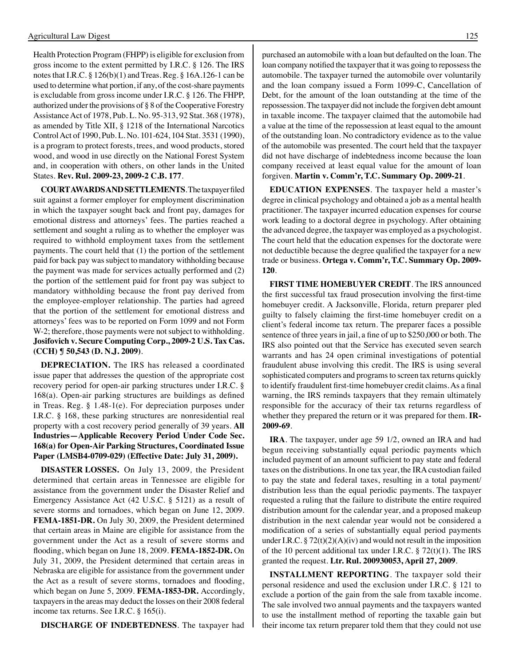Health Protection Program (FHPP) is eligible for exclusion from gross income to the extent permitted by I.R.C. § 126. The IRS notes that I.R.C. § 126(b)(1) and Treas. Reg. § 16A.126-1 can be used to determine what portion, if any, of the cost-share payments is excludable from gross income under I.R.C. § 126. The FHPP, authorized under the provisions of § 8 of the Cooperative Forestry Assistance Act of 1978, Pub. L. No. 95-313, 92 Stat. 368 (1978), as amended by Title XII, § 1218 of the International Narcotics Control Act of 1990, Pub. L. No. 101-624, 104 Stat. 3531 (1990), is a program to protect forests, trees, and wood products, stored wood, and wood in use directly on the National Forest System and, in cooperation with others, on other lands in the United States. **Rev. Rul. 2009-23, 2009-2 C.B. 177**.

**COURT AWARDS AND SETTLEMENTS**. The taxpayer filed suit against a former employer for employment discrimination in which the taxpayer sought back and front pay, damages for emotional distress and attorneys' fees. The parties reached a settlement and sought a ruling as to whether the employer was required to withhold employment taxes from the settlement payments. The court held that (1) the portion of the settlement paid for back pay was subject to mandatory withholding because the payment was made for services actually performed and (2) the portion of the settlement paid for front pay was subject to mandatory withholding because the front pay derived from the employee-employer relationship. The parties had agreed that the portion of the settlement for emotional distress and attorneys' fees was to be reported on Form 1099 and not Form W-2; therefore, those payments were not subject to withholding. **Josifovich v. Secure Computing Corp., 2009-2 U.S. Tax Cas. (CCH) ¶ 50,543 (D. N.J. 2009)**.

**DEPRECIATION.** The IRS has released a coordinated issue paper that addresses the question of the appropriate cost recovery period for open-air parking structures under I.R.C. § 168(a). Open-air parking structures are buildings as defined in Treas. Reg. § 1.48-1(e). For depreciation purposes under I.R.C. § 168, these parking structures are nonresidential real property with a cost recovery period generally of 39 years. **All Industries—Applicable Recovery Period Under Code Sec. 168(a) for Open-Air Parking Structures, Coordinated Issue Paper (LMSB4-0709-029) (Effective Date: July 31, 2009).**

**DISASTER LOSSES.** On July 13, 2009*,* the President determined that certain areas in Tennessee are eligible for assistance from the government under the Disaster Relief and Emergency Assistance Act (42 U.S.C. § 5121) as a result of severe storms and tornadoes, which began on June 12, 2009*.*  **FEMA-1851-DR.** On July 30, 2009, the President determined that certain areas in Maine are eligible for assistance from the government under the Act as a result of severe storms and flooding, which began on June 18, 2009. **FEMA-1852-DR.** On July 31, 2009, the President determined that certain areas in Nebraska are eligible for assistance from the government under the Act as a result of severe storms, tornadoes and flooding, which began on June 5, 2009. **FEMA-1853-DR.** Accordingly, taxpayers in the areas may deduct the losses on their 2008 federal income tax returns. See I.R.C. § 165(i).

**DISCHARGE OF INDEBTEDNESS**. The taxpayer had

purchased an automobile with a loan but defaulted on the loan. The loan company notified the taxpayer that it was going to repossess the automobile. The taxpayer turned the automobile over voluntarily and the loan company issued a Form 1099-C, Cancellation of Debt, for the amount of the loan outstanding at the time of the repossession. The taxpayer did not include the forgiven debt amount in taxable income. The taxpayer claimed that the automobile had a value at the time of the repossession at least equal to the amount of the outstanding loan. No contradictory evidence as to the value of the automobile was presented. The court held that the taxpayer did not have discharge of indebtedness income because the loan company received at least equal value for the amount of loan forgiven. **Martin v. Comm'r, T.C. Summary Op. 2009-21**.

**EDUCATION EXPENSES**. The taxpayer held a master's degree in clinical psychology and obtained a job as a mental health practitioner. The taxpayer incurred education expenses for course work leading to a doctoral degree in psychology. After obtaining the advanced degree, the taxpayer was employed as a psychologist. The court held that the education expenses for the doctorate were not deductible because the degree qualified the taxpayer for a new trade or business. **Ortega v. Comm'r, T.C. Summary Op. 2009- 120**.

**FIRST TIME HOMEBUYER CREDIT**. The IRS announced the first successful tax fraud prosecution involving the first-time homebuyer credit. A Jacksonville, Florida, return preparer pled guilty to falsely claiming the first-time homebuyer credit on a client's federal income tax return. The preparer faces a possible sentence of three years in jail, a fine of up to \$250,000 or both. The IRS also pointed out that the Service has executed seven search warrants and has 24 open criminal investigations of potential fraudulent abuse involving this credit. The IRS is using several sophisticated computers and programs to screen tax returns quickly to identify fraudulent first-time homebuyer credit claims. As a final warning, the IRS reminds taxpayers that they remain ultimately responsible for the accuracy of their tax returns regardless of whether they prepared the return or it was prepared for them. **IR-2009-69**.

**IRA**. The taxpayer, under age 59 1/2, owned an IRA and had begun receiving substantially equal periodic payments which included payment of an amount sufficient to pay state and federal taxes on the distributions. In one tax year, the IRA custodian failed to pay the state and federal taxes, resulting in a total payment/ distribution less than the equal periodic payments. The taxpayer requested a ruling that the failure to distribute the entire required distribution amount for the calendar year, and a proposed makeup distribution in the next calendar year would not be considered a modification of a series of substantially equal period payments under I.R.C.  $\S 72(t)(2)(A)(iv)$  and would not result in the imposition of the 10 percent additional tax under I.R.C.  $\S$  72(t)(1). The IRS granted the request. **Ltr. Rul. 200930053, April 27, 2009**.

**INSTALLMENT REPORTING**. The taxpayer sold their personal residence and used the exclusion under I.R.C. § 121 to exclude a portion of the gain from the sale from taxable income. The sale involved two annual payments and the taxpayers wanted to use the installment method of reporting the taxable gain but their income tax return preparer told them that they could not use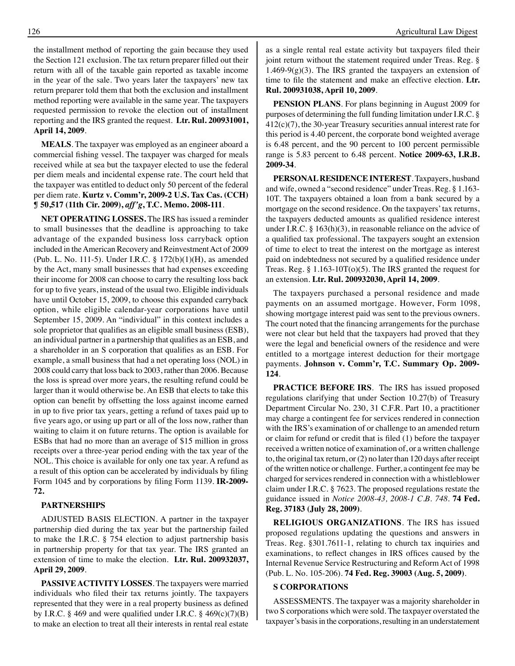the installment method of reporting the gain because they used the Section 121 exclusion. The tax return preparer filled out their return with all of the taxable gain reported as taxable income in the year of the sale. Two years later the taxpayers' new tax return preparer told them that both the exclusion and installment method reporting were available in the same year. The taxpayers requested permission to revoke the election out of installment reporting and the IRS granted the request. **Ltr. Rul. 200931001, April 14, 2009**.

**MEALS**. The taxpayer was employed as an engineer aboard a commercial fishing vessel. The taxpayer was charged for meals received while at sea but the taxpayer elected to use the federal per diem meals and incidental expense rate. The court held that the taxpayer was entitled to deduct only 50 percent of the federal per diem rate. **Kurtz v. Comm'r, 2009-2 U.S. Tax Cas. (CCH) ¶ 50,517 (11th Cir. 2009),** *aff'g***, T.C. Memo. 2008-111**.

**NET OPERATING LOSSES.** The IRS has issued a reminder to small businesses that the deadline is approaching to take advantage of the expanded business loss carryback option included in the American Recovery and Reinvestment Act of 2009 (Pub. L. No. 111-5). Under I.R.C. § 172(b)(1)(H), as amended by the Act, many small businesses that had expenses exceeding their income for 2008 can choose to carry the resulting loss back for up to five years, instead of the usual two. Eligible individuals have until October 15, 2009, to choose this expanded carryback option, while eligible calendar-year corporations have until September 15, 2009. An "individual" in this context includes a sole proprietor that qualifies as an eligible small business (ESB), an individual partner in a partnership that qualifies as an ESB, and a shareholder in an S corporation that qualifies as an ESB. For example, a small business that had a net operating loss (NOL) in 2008 could carry that loss back to 2003, rather than 2006. Because the loss is spread over more years, the resulting refund could be larger than it would otherwise be. An ESB that elects to take this option can benefit by offsetting the loss against income earned in up to five prior tax years, getting a refund of taxes paid up to five years ago, or using up part or all of the loss now, rather than waiting to claim it on future returns. The option is available for ESBs that had no more than an average of \$15 million in gross receipts over a three-year period ending with the tax year of the NOL. This choice is available for only one tax year. A refund as a result of this option can be accelerated by individuals by filing Form 1045 and by corporations by filing Form 1139. **IR-2009- 72.** 

#### **PARTNERSHIPS**

ADJUSTED BASIS ELECTION. A partner in the taxpayer partnership died during the tax year but the partnership failed to make the I.R.C. § 754 election to adjust partnership basis in partnership property for that tax year. The IRS granted an extension of time to make the election. **Ltr. Rul. 200932037, April 29, 2009**.

**PASSIVE ACTIVITY LOSSES**. The taxpayers were married individuals who filed their tax returns jointly. The taxpayers represented that they were in a real property business as defined by I.R.C.  $\S$  469 and were qualified under I.R.C.  $\S$  469(c)(7)(B) to make an election to treat all their interests in rental real estate

as a single rental real estate activity but taxpayers filed their joint return without the statement required under Treas. Reg. § 1.469-9 $(g)(3)$ . The IRS granted the taxpayers an extension of time to file the statement and make an effective election. **Ltr. Rul. 200931038, April 10, 2009**.

**PENSION PLANS**. For plans beginning in August 2009 for purposes of determining the full funding limitation under I.R.C. § 412(c)(7), the 30-year Treasury securities annual interest rate for this period is 4.40 percent, the corporate bond weighted average is 6.48 percent, and the 90 percent to 100 percent permissible range is 5.83 percent to 6.48 percent. **Notice 2009-63, I.R.B. 2009-34**.

**PERSONAL RESIDENCE INTEREST**. Taxpayers, husband and wife, owned a "second residence" under Treas. Reg. § 1.163- 10T. The taxpayers obtained a loan from a bank secured by a mortgage on the second residence. On the taxpayers' tax returns, the taxpayers deducted amounts as qualified residence interest under I.R.C. § 163(h)(3), in reasonable reliance on the advice of a qualified tax professional. The taxpayers sought an extension of time to elect to treat the interest on the mortgage as interest paid on indebtedness not secured by a qualified residence under Treas. Reg. § 1.163-10T(o)(5). The IRS granted the request for an extension. **Ltr. Rul. 200932030, April 14, 2009**.

The taxpayers purchased a personal residence and made payments on an assumed mortgage. However, Form 1098, showing mortgage interest paid was sent to the previous owners. The court noted that the financing arrangements for the purchase were not clear but held that the taxpayers had proved that they were the legal and beneficial owners of the residence and were entitled to a mortgage interest deduction for their mortgage payments. **Johnson v. Comm'r, T.C. Summary Op. 2009- 124**.

**PRACTICE BEFORE IRS**. The IRS has issued proposed regulations clarifying that under Section 10.27(b) of Treasury Department Circular No. 230, 31 C.F.R. Part 10, a practitioner may charge a contingent fee for services rendered in connection with the IRS's examination of or challenge to an amended return or claim for refund or credit that is filed (1) before the taxpayer received a written notice of examination of, or a written challenge to, the original tax return, or (2) no later than 120 days after receipt of the written notice or challenge. Further, a contingent fee may be charged for services rendered in connection with a whistleblower claim under I.R.C. § 7623. The proposed regulations restate the guidance issued in *Notice 2008-43, 2008-1 C.B. 748*. **74 Fed. Reg. 37183 (July 28, 2009)**.

**RELIGIOUS ORGANIZATIONS**. The IRS has issued proposed regulations updating the questions and answers in Treas. Reg. §301.7611-1, relating to church tax inquiries and examinations, to reflect changes in IRS offices caused by the Internal Revenue Service Restructuring and Reform Act of 1998 (Pub. L. No. 105-206). **74 Fed. Reg. 39003 (Aug. 5, 2009)**.

#### **S CORPORATIONS**

ASSESSMENTS. The taxpayer was a majority shareholder in two S corporations which were sold. The taxpayer overstated the taxpayer's basis in the corporations, resulting in an understatement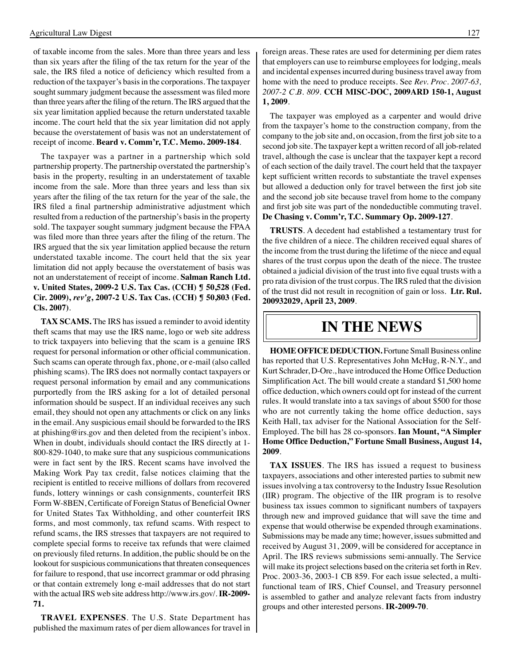of taxable income from the sales. More than three years and less than six years after the filing of the tax return for the year of the sale, the IRS filed a notice of deficiency which resulted from a reduction of the taxpayer's basis in the corporations. The taxpayer sought summary judgment because the assessment was filed more than three years after the filing of the return. The IRS argued that the six year limitation applied because the return understated taxable income. The court held that the six year limitation did not apply because the overstatement of basis was not an understatement of receipt of income. **Beard v. Comm'r, T.C. Memo. 2009-184**.

The taxpayer was a partner in a partnership which sold partnership property. The partnership overstated the partnership's basis in the property, resulting in an understatement of taxable income from the sale. More than three years and less than six years after the filing of the tax return for the year of the sale, the IRS filed a final partnership administrative adjustment which resulted from a reduction of the partnership's basis in the property sold. The taxpayer sought summary judgment because the FPAA was filed more than three years after the filing of the return. The IRS argued that the six year limitation applied because the return understated taxable income. The court held that the six year limitation did not apply because the overstatement of basis was not an understatement of receipt of income. **Salman Ranch Ltd. v. United States, 2009-2 U.S. Tax Cas. (CCH) ¶ 50,528 (Fed. Cir. 2009),** *rev'g***, 2007-2 U.S. Tax Cas. (CCH) ¶ 50,803 (Fed. Cls. 2007)**.

**TAX SCAMS.** The IRS has issued a reminder to avoid identity theft scams that may use the IRS name, logo or web site address to trick taxpayers into believing that the scam is a genuine IRS request for personal information or other official communication. Such scams can operate through fax, phone, or e-mail (also called phishing scams). The IRS does not normally contact taxpayers or request personal information by email and any communications purportedly from the IRS asking for a lot of detailed personal information should be suspect. If an individual receives any such email, they should not open any attachments or click on any links in the email. Any suspicious email should be forwarded to the IRS at phishing@irs.gov and then deleted from the recipient's inbox. When in doubt, individuals should contact the IRS directly at 1- 800-829-1040, to make sure that any suspicious communications were in fact sent by the IRS. Recent scams have involved the Making Work Pay tax credit, false notices claiming that the recipient is entitled to receive millions of dollars from recovered funds, lottery winnings or cash consignments, counterfeit IRS Form W-8BEN, Certificate of Foreign Status of Beneficial Owner for United States Tax Withholding, and other counterfeit IRS forms, and most commonly, tax refund scams. With respect to refund scams, the IRS stresses that taxpayers are not required to complete special forms to receive tax refunds that were claimed on previously filed returns. In addition, the public should be on the lookout for suspicious communications that threaten consequences for failure to respond, that use incorrect grammar or odd phrasing or that contain extremely long e-mail addresses that do not start with the actual IRS web site address http://www.irs.gov/. **IR-2009- 71.**

**TRAVEL EXPENSES**. The U.S. State Department has published the maximum rates of per diem allowances for travel in foreign areas. These rates are used for determining per diem rates that employers can use to reimburse employees for lodging, meals and incidental expenses incurred during business travel away from home with the need to produce receipts. See *Rev. Proc. 2007-63, 2007-2 C.B. 809*. **CCH MISC-DOC, 2009ARD 150-1, August 1, 2009**.

The taxpayer was employed as a carpenter and would drive from the taxpayer's home to the construction company, from the company to the job site and, on occasion, from the first job site to a second job site. The taxpayer kept a written record of all job-related travel, although the case is unclear that the taxpayer kept a record of each section of the daily travel. The court held that the taxpayer kept sufficient written records to substantiate the travel expenses but allowed a deduction only for travel between the first job site and the second job site because travel from home to the company and first job site was part of the nondeductible commuting travel. **De Chasing v. Comm'r, T.C. Summary Op. 2009-127**.

**TRUSTS**. A decedent had established a testamentary trust for the five children of a niece. The children received equal shares of the income from the trust during the lifetime of the niece and equal shares of the trust corpus upon the death of the niece. The trustee obtained a judicial division of the trust into five equal trusts with a pro rata division of the trust corpus. The IRS ruled that the division of the trust did not result in recognition of gain or loss. **Ltr. Rul. 200932029, April 23, 2009**.

### **in the news**

**HOME OFFICE DEDUCTION.** Fortune Small Business online has reported that U.S. Representatives John McHug, R-N.Y., and Kurt Schrader, D-Ore., have introduced the Home Office Deduction Simplification Act. The bill would create a standard \$1,500 home office deduction, which owners could opt for instead of the current rules. It would translate into a tax savings of about \$500 for those who are not currently taking the home office deduction, says Keith Hall, tax adviser for the National Association for the Self-Employed. The bill has 28 co-sponsors. **Ian Mount, "A Simpler Home Office Deduction," Fortune Small Business, August 14, 2009**.

**TAX ISSUES**. The IRS has issued a request to business taxpayers, associations and other interested parties to submit new issues involving a tax controversy to the Industry Issue Resolution (IIR) program. The objective of the IIR program is to resolve business tax issues common to significant numbers of taxpayers through new and improved guidance that will save the time and expense that would otherwise be expended through examinations. Submissions may be made any time; however, issues submitted and received by August 31, 2009, will be considered for acceptance in April. The IRS reviews submissions semi-annually. The Service will make its project selections based on the criteria set forth in Rev. Proc. 2003-36, 2003-1 CB 859. For each issue selected, a multifunctional team of IRS, Chief Counsel, and Treasury personnel is assembled to gather and analyze relevant facts from industry groups and other interested persons. **IR-2009-70**.